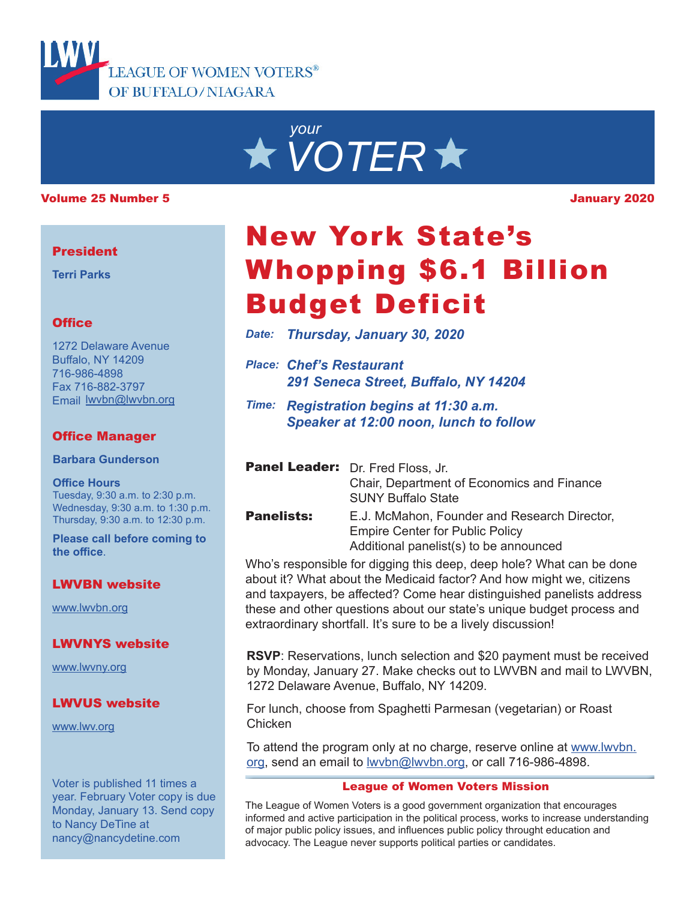



#### Volume 25 Number 5 January 2020

#### **President**

**Terri Parks**

### **Office**

1272 Delaware Avenue Buffalo, NY 14209 716-986-4898 Fax 716-882-3797 Email lwvbn@lwvbn.org

## Office Manager

**Barbara Gunderson**

#### **Office Hours**

Tuesday, 9:30 a.m. to 2:30 p.m. Wednesday, 9:30 a.m. to 1:30 p.m. Thursday, 9:30 a.m. to 12:30 p.m.

**Please call before coming to the office**.

#### LWVBN website

www.lwvbn.org

#### LWVNYS website

www.lwvny.org

#### LWVUS website

www.lwv.org

Voter is published 11 times a year. February Voter copy is due Monday, January 13. Send copy to Nancy DeTine at nancy@nancydetine.com

# New York State's Whopping \$6.1 Billion Budget Deficit

*Date: Thursday, January 30, 2020*

- *Place: Chef's Restaurant 291 Seneca Street, Buffalo, NY 14204*
- *Time: Registration begins at 11:30 a.m. Speaker at 12:00 noon, lunch to follow*

|                   | <b>Panel Leader:</b> Dr. Fred Floss, Jr.     |
|-------------------|----------------------------------------------|
|                   | Chair, Department of Economics and Finance   |
|                   | <b>SUNY Buffalo State</b>                    |
| <b>Panelists:</b> | E.J. McMahon, Founder and Research Director, |
|                   | Emnire Center for Public Policy              |

Empire Center for Public Policy Additional panelist(s) to be announced

Who's responsible for digging this deep, deep hole? What can be done about it? What about the Medicaid factor? And how might we, citizens and taxpayers, be affected? Come hear distinguished panelists address these and other questions about our state's unique budget process and extraordinary shortfall. It's sure to be a lively discussion!

**RSVP**: Reservations, lunch selection and \$20 payment must be received by Monday, January 27. Make checks out to LWVBN and mail to LWVBN, 1272 Delaware Avenue, Buffalo, NY 14209.

For lunch, choose from Spaghetti Parmesan (vegetarian) or Roast Chicken

To attend the program only at no charge, reserve online at www.lwvbn. org, send an email to lwvbn@lwvbn.org, or call 716-986-4898.

#### League of Women Voters Mission

The League of Women Voters is a good government organization that encourages informed and active participation in the political process, works to increase understanding of major public policy issues, and influences public policy throught education and advocacy. The League never supports political parties or candidates.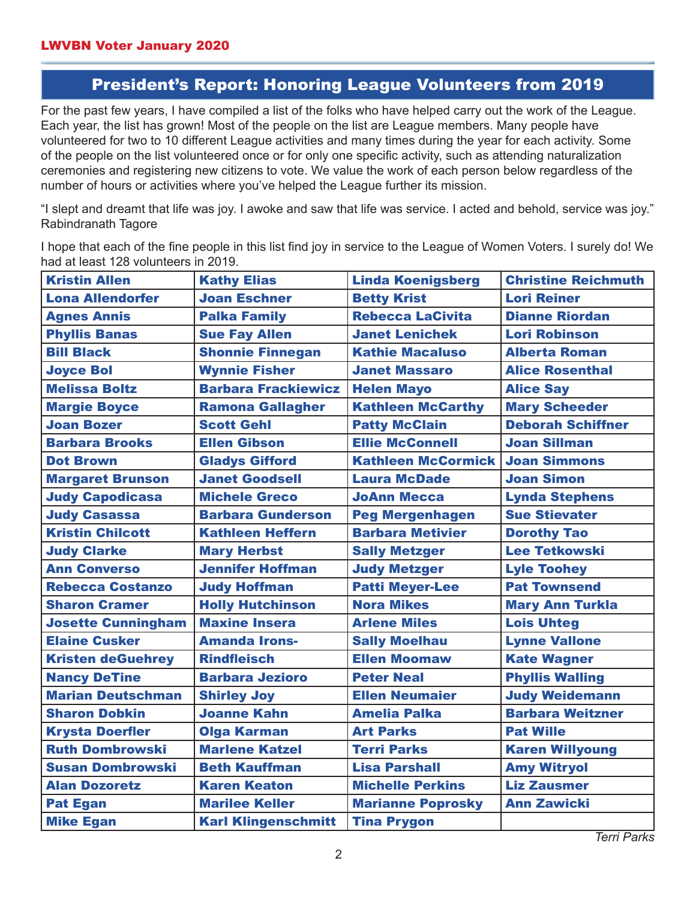## President's Report: Honoring League Volunteers from 2019

For the past few years, I have compiled a list of the folks who have helped carry out the work of the League. Each year, the list has grown! Most of the people on the list are League members. Many people have volunteered for two to 10 different League activities and many times during the year for each activity. Some of the people on the list volunteered once or for only one specific activity, such as attending naturalization ceremonies and registering new citizens to vote. We value the work of each person below regardless of the number of hours or activities where you've helped the League further its mission.

"I slept and dreamt that life was joy. I awoke and saw that life was service. I acted and behold, service was joy." Rabindranath Tagore

I hope that each of the fine people in this list find joy in service to the League of Women Voters. I surely do! We had at least 128 volunteers in 2019.

| <b>Kristin Allen</b>      | <b>Kathy Elias</b>         | <b>Linda Koenigsberg</b>  | <b>Christine Reichmuth</b> |
|---------------------------|----------------------------|---------------------------|----------------------------|
| <b>Lona Allendorfer</b>   | <b>Joan Eschner</b>        | <b>Betty Krist</b>        | <b>Lori Reiner</b>         |
| <b>Agnes Annis</b>        | <b>Palka Family</b>        | <b>Rebecca LaCivita</b>   | <b>Dianne Riordan</b>      |
| <b>Phyllis Banas</b>      | <b>Sue Fay Allen</b>       | <b>Janet Lenichek</b>     | <b>Lori Robinson</b>       |
| <b>Bill Black</b>         | <b>Shonnie Finnegan</b>    | <b>Kathie Macaluso</b>    | <b>Alberta Roman</b>       |
| <b>Joyce Bol</b>          | <b>Wynnie Fisher</b>       | <b>Janet Massaro</b>      | <b>Alice Rosenthal</b>     |
| <b>Melissa Boltz</b>      | <b>Barbara Frackiewicz</b> | <b>Helen Mayo</b>         | <b>Alice Say</b>           |
| <b>Margie Boyce</b>       | <b>Ramona Gallagher</b>    | <b>Kathleen McCarthy</b>  | <b>Mary Scheeder</b>       |
| <b>Joan Bozer</b>         | <b>Scott Gehl</b>          | <b>Patty McClain</b>      | <b>Deborah Schiffner</b>   |
| <b>Barbara Brooks</b>     | <b>Ellen Gibson</b>        | <b>Ellie McConnell</b>    | <b>Joan Sillman</b>        |
| <b>Dot Brown</b>          | <b>Gladys Gifford</b>      | <b>Kathleen McCormick</b> | <b>Joan Simmons</b>        |
| <b>Margaret Brunson</b>   | <b>Janet Goodsell</b>      | <b>Laura McDade</b>       | <b>Joan Simon</b>          |
| <b>Judy Capodicasa</b>    | <b>Michele Greco</b>       | <b>JoAnn Mecca</b>        | <b>Lynda Stephens</b>      |
| <b>Judy Casassa</b>       | <b>Barbara Gunderson</b>   | <b>Peg Mergenhagen</b>    | <b>Sue Stievater</b>       |
| <b>Kristin Chilcott</b>   | <b>Kathleen Heffern</b>    | <b>Barbara Metivier</b>   | <b>Dorothy Tao</b>         |
| <b>Judy Clarke</b>        | <b>Mary Herbst</b>         | <b>Sally Metzger</b>      | <b>Lee Tetkowski</b>       |
| <b>Ann Converso</b>       | <b>Jennifer Hoffman</b>    | <b>Judy Metzger</b>       | <b>Lyle Toohey</b>         |
| <b>Rebecca Costanzo</b>   | <b>Judy Hoffman</b>        | <b>Patti Meyer-Lee</b>    | <b>Pat Townsend</b>        |
| <b>Sharon Cramer</b>      | <b>Holly Hutchinson</b>    | <b>Nora Mikes</b>         | <b>Mary Ann Turkla</b>     |
| <b>Josette Cunningham</b> | <b>Maxine Insera</b>       | <b>Arlene Miles</b>       | <b>Lois Uhteg</b>          |
| <b>Elaine Cusker</b>      | <b>Amanda Irons-</b>       | <b>Sally Moelhau</b>      | <b>Lynne Vallone</b>       |
| <b>Kristen deGuehrey</b>  | <b>Rindfleisch</b>         | <b>Ellen Moomaw</b>       | <b>Kate Wagner</b>         |
| <b>Nancy DeTine</b>       | <b>Barbara Jezioro</b>     | <b>Peter Neal</b>         | <b>Phyllis Walling</b>     |
| <b>Marian Deutschman</b>  | <b>Shirley Joy</b>         | <b>Ellen Neumaier</b>     | <b>Judy Weidemann</b>      |
| <b>Sharon Dobkin</b>      | <b>Joanne Kahn</b>         | <b>Amelia Palka</b>       | <b>Barbara Weitzner</b>    |
| <b>Krysta Doerfler</b>    | <b>Olga Karman</b>         | <b>Art Parks</b>          | <b>Pat Wille</b>           |
| <b>Ruth Dombrowski</b>    | <b>Marlene Katzel</b>      | <b>Terri Parks</b>        | <b>Karen Willyoung</b>     |
| <b>Susan Dombrowski</b>   | <b>Beth Kauffman</b>       | <b>Lisa Parshall</b>      | <b>Amy Witryol</b>         |
| <b>Alan Dozoretz</b>      | <b>Karen Keaton</b>        | <b>Michelle Perkins</b>   | <b>Liz Zausmer</b>         |
| <b>Pat Egan</b>           | <b>Marilee Keller</b>      | <b>Marianne Poprosky</b>  | <b>Ann Zawicki</b>         |
| <b>Mike Egan</b>          | <b>Karl Klingenschmitt</b> | <b>Tina Prygon</b>        |                            |

*Terri Parks*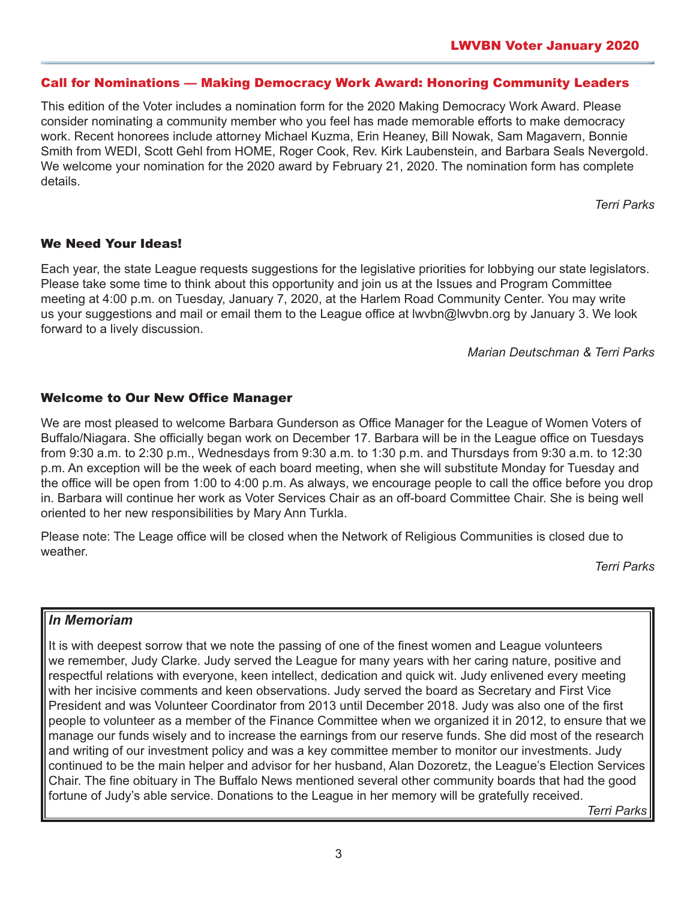### Call for Nominations — Making Democracy Work Award: Honoring Community Leaders

This edition of the Voter includes a nomination form for the 2020 Making Democracy Work Award. Please consider nominating a community member who you feel has made memorable efforts to make democracy work. Recent honorees include attorney Michael Kuzma, Erin Heaney, Bill Nowak, Sam Magavern, Bonnie Smith from WEDI, Scott Gehl from HOME, Roger Cook, Rev. Kirk Laubenstein, and Barbara Seals Nevergold. We welcome your nomination for the 2020 award by February 21, 2020. The nomination form has complete details.

*Terri Parks*

#### We Need Your Ideas!

Each year, the state League requests suggestions for the legislative priorities for lobbying our state legislators. Please take some time to think about this opportunity and join us at the Issues and Program Committee meeting at 4:00 p.m. on Tuesday, January 7, 2020, at the Harlem Road Community Center. You may write us your suggestions and mail or email them to the League office at lwvbn@lwvbn.org by January 3. We look forward to a lively discussion.

*Marian Deutschman & Terri Parks*

#### Welcome to Our New Office Manager

We are most pleased to welcome Barbara Gunderson as Office Manager for the League of Women Voters of Buffalo/Niagara. She officially began work on December 17. Barbara will be in the League office on Tuesdays from 9:30 a.m. to 2:30 p.m., Wednesdays from 9:30 a.m. to 1:30 p.m. and Thursdays from 9:30 a.m. to 12:30 p.m. An exception will be the week of each board meeting, when she will substitute Monday for Tuesday and the office will be open from 1:00 to 4:00 p.m. As always, we encourage people to call the office before you drop in. Barbara will continue her work as Voter Services Chair as an off-board Committee Chair. She is being well oriented to her new responsibilities by Mary Ann Turkla.

Please note: The Leage office will be closed when the Network of Religious Communities is closed due to weather.

*Terri Parks*

#### *In Memoriam*

It is with deepest sorrow that we note the passing of one of the finest women and League volunteers we remember, Judy Clarke. Judy served the League for many years with her caring nature, positive and respectful relations with everyone, keen intellect, dedication and quick wit. Judy enlivened every meeting with her incisive comments and keen observations. Judy served the board as Secretary and First Vice President and was Volunteer Coordinator from 2013 until December 2018. Judy was also one of the first people to volunteer as a member of the Finance Committee when we organized it in 2012, to ensure that we manage our funds wisely and to increase the earnings from our reserve funds. She did most of the research and writing of our investment policy and was a key committee member to monitor our investments. Judy continued to be the main helper and advisor for her husband, Alan Dozoretz, the League's Election Services Chair. The fine obituary in The Buffalo News mentioned several other community boards that had the good fortune of Judy's able service. Donations to the League in her memory will be gratefully received.

*Terri Parks*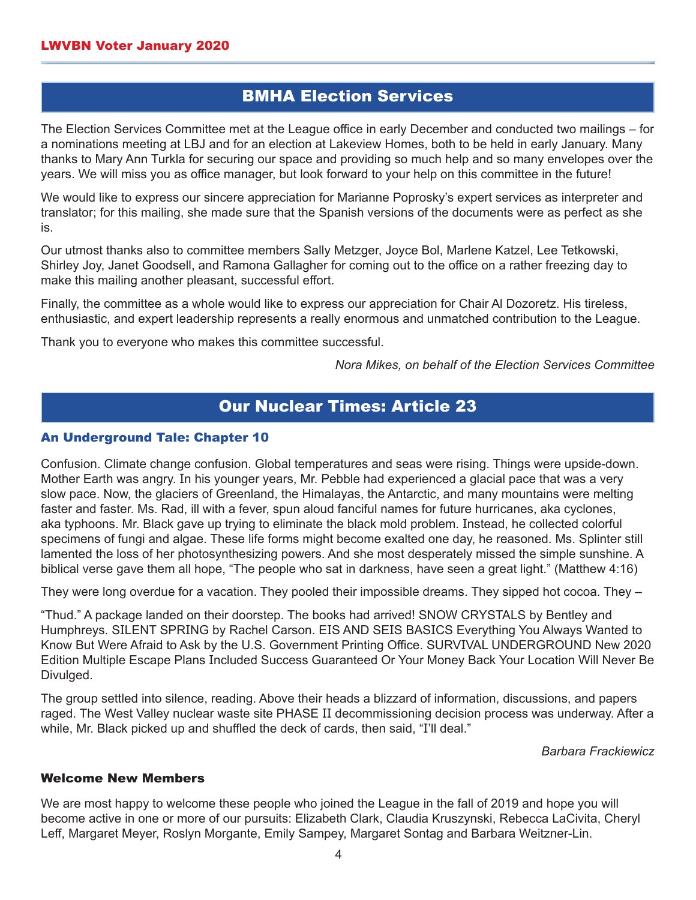## BMHA Election Services

The Election Services Committee met at the League office in early December and conducted two mailings – for a nominations meeting at LBJ and for an election at Lakeview Homes, both to be held in early January. Many thanks to Mary Ann Turkla for securing our space and providing so much help and so many envelopes over the years. We will miss you as office manager, but look forward to your help on this committee in the future!

We would like to express our sincere appreciation for Marianne Poprosky's expert services as interpreter and translator; for this mailing, she made sure that the Spanish versions of the documents were as perfect as she is.

Our utmost thanks also to committee members Sally Metzger, Joyce Bol, Marlene Katzel, Lee Tetkowski, Shirley Joy, Janet Goodsell, and Ramona Gallagher for coming out to the office on a rather freezing day to make this mailing another pleasant, successful effort.

Finally, the committee as a whole would like to express our appreciation for Chair Al Dozoretz. His tireless, enthusiastic, and expert leadership represents a really enormous and unmatched contribution to the League.

Thank you to everyone who makes this committee successful.

*Nora Mikes, on behalf of the Election Services Committee*

## Our Nuclear Times: Article 23

#### An Underground Tale: Chapter 10

Confusion. Climate change confusion. Global temperatures and seas were rising. Things were upside-down. Mother Earth was angry. In his younger years, Mr. Pebble had experienced a glacial pace that was a very slow pace. Now, the glaciers of Greenland, the Himalayas, the Antarctic, and many mountains were melting faster and faster. Ms. Rad, ill with a fever, spun aloud fanciful names for future hurricanes, aka cyclones, aka typhoons. Mr. Black gave up trying to eliminate the black mold problem. Instead, he collected colorful specimens of fungi and algae. These life forms might become exalted one day, he reasoned. Ms. Splinter still lamented the loss of her photosynthesizing powers. And she most desperately missed the simple sunshine. A biblical verse gave them all hope, "The people who sat in darkness, have seen a great light." (Matthew 4:16)

They were long overdue for a vacation. They pooled their impossible dreams. They sipped hot cocoa. They –

"Thud." A package landed on their doorstep. The books had arrived! SNOW CRYSTALS by Bentley and Humphreys. SILENT SPRING by Rachel Carson. EIS AND SEIS BASICS Everything You Always Wanted to Know But Were Afraid to Ask by the U.S. Government Printing Office. SURVIVAL UNDERGROUND New 2020 Edition Multiple Escape Plans Included Success Guaranteed Or Your Money Back Your Location Will Never Be Divulged.

The group settled into silence, reading. Above their heads a blizzard of information, discussions, and papers raged. The West Valley nuclear waste site PHASE II decommissioning decision process was underway. After a while, Mr. Black picked up and shuffled the deck of cards, then said, "I'll deal."

#### *Barbara Frackiewicz*

#### Welcome New Members

We are most happy to welcome these people who joined the League in the fall of 2019 and hope you will become active in one or more of our pursuits: Elizabeth Clark, Claudia Kruszynski, Rebecca LaCivita, Cheryl Leff, Margaret Meyer, Roslyn Morgante, Emily Sampey, Margaret Sontag and Barbara Weitzner-Lin.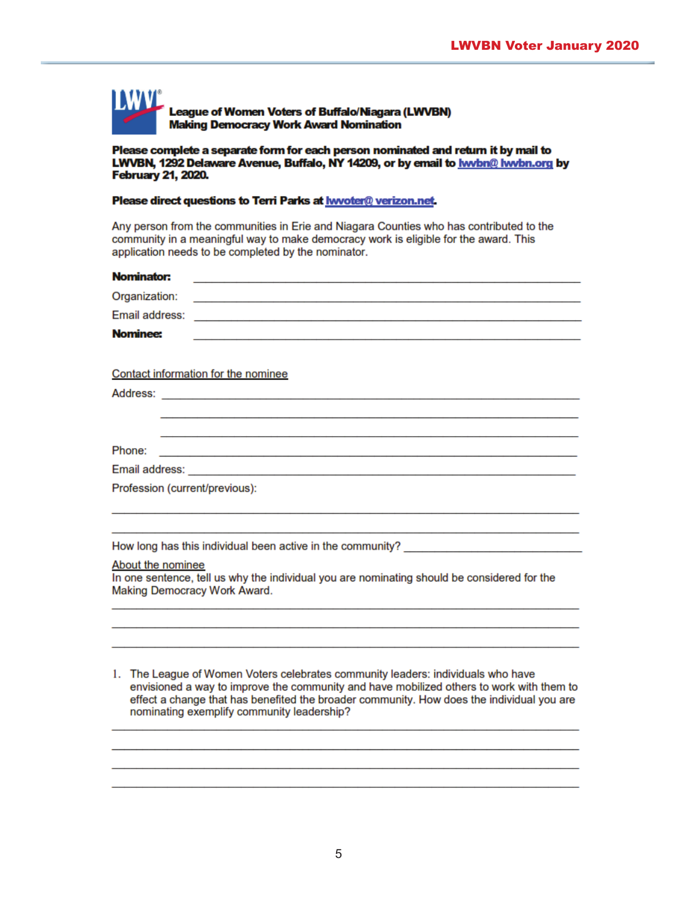

#### Please complete a separate form for each person nominated and return it by mail to LWVBN, 1292 Delaware Avenue, Buffalo, NY 14209, or by email to **hwbn@ hwbn.org** by **February 21, 2020.**

#### Please direct questions to Terri Parks at hwoter@ verizon.net.

Any person from the communities in Erie and Niagara Counties who has contributed to the community in a meaningful way to make democracy work is eligible for the award. This application needs to be completed by the nominator.

| Nominator:<br><u> 2000 - Jan James James James James James James James James James James James James James James James James Ja</u>                                                                                                             |
|-------------------------------------------------------------------------------------------------------------------------------------------------------------------------------------------------------------------------------------------------|
| Organization:                                                                                                                                                                                                                                   |
| Email address:<br>the control of the control of the control of the control of the control of the control of the control of the control of the control of the control of the control of the control of the control of the control of the control |
| <b>Nominee:</b>                                                                                                                                                                                                                                 |
|                                                                                                                                                                                                                                                 |
| Contact information for the nominee                                                                                                                                                                                                             |
|                                                                                                                                                                                                                                                 |
|                                                                                                                                                                                                                                                 |
|                                                                                                                                                                                                                                                 |
| Phone:                                                                                                                                                                                                                                          |
|                                                                                                                                                                                                                                                 |
| Profession (current/previous):                                                                                                                                                                                                                  |
|                                                                                                                                                                                                                                                 |
|                                                                                                                                                                                                                                                 |
| How long has this individual been active in the community?                                                                                                                                                                                      |
| About the nominee                                                                                                                                                                                                                               |
| In one sentence, tell us why the individual you are nominating should be considered for the<br>Making Democracy Work Award.                                                                                                                     |
|                                                                                                                                                                                                                                                 |
|                                                                                                                                                                                                                                                 |
|                                                                                                                                                                                                                                                 |
|                                                                                                                                                                                                                                                 |
| 1. The League of Women Voters celebrates community leaders: individuals who have                                                                                                                                                                |
| envisioned a way to improve the community and have mobilized others to work with them to<br>effect a change that has benefited the broader community. How does the individual you are                                                           |
| nominating exemplify community leadership?                                                                                                                                                                                                      |
|                                                                                                                                                                                                                                                 |
|                                                                                                                                                                                                                                                 |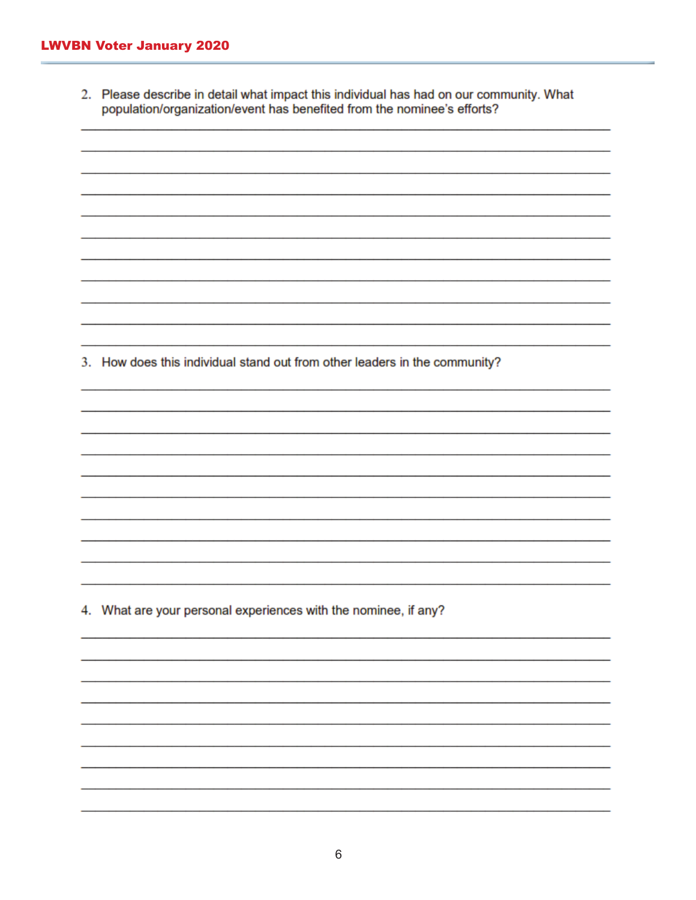2. Please describe in detail what impact this individual has had on our community. What population/organization/event has benefited from the nominee's efforts?

3. How does this individual stand out from other leaders in the community?

4. What are your personal experiences with the nominee, if any?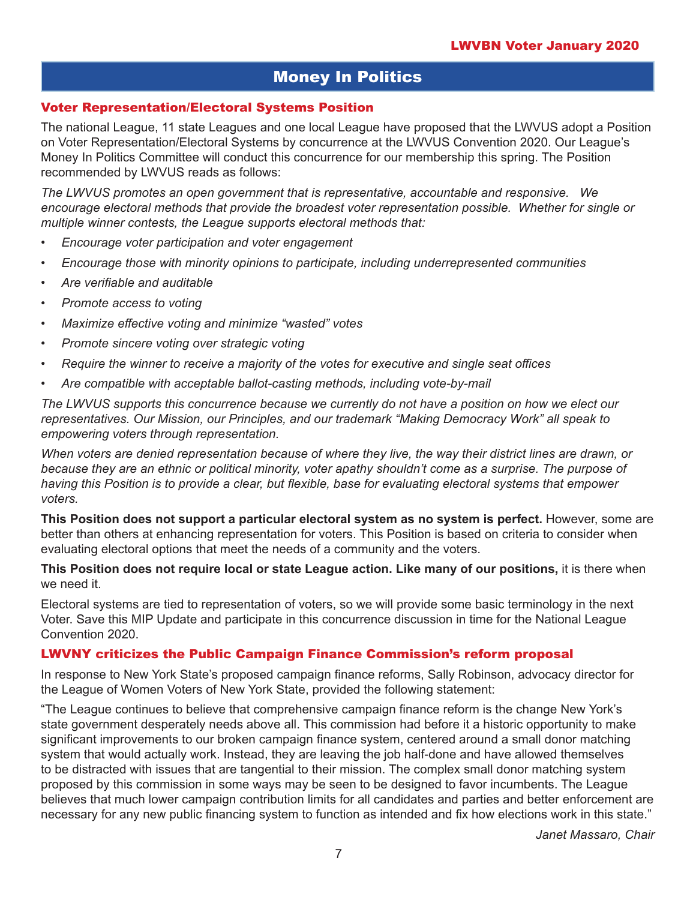# Money In Politics

#### Voter Representation/Electoral Systems Position

The national League, 11 state Leagues and one local League have proposed that the LWVUS adopt a Position on Voter Representation/Electoral Systems by concurrence at the LWVUS Convention 2020. Our League's Money In Politics Committee will conduct this concurrence for our membership this spring. The Position recommended by LWVUS reads as follows:

*The LWVUS promotes an open government that is representative, accountable and responsive. We encourage electoral methods that provide the broadest voter representation possible. Whether for single or multiple winner contests, the League supports electoral methods that:*

- *Encourage voter participation and voter engagement*
- *• Encourage those with minority opinions to participate, including underrepresented communities*
- *• Are verifiable and auditable*
- *Promote access to voting*
- *• Maximize effective voting and minimize "wasted" votes*
- *Promote sincere voting over strategic voting*
- *• Require the winner to receive a majority of the votes for executive and single seat offices*
- *• Are compatible with acceptable ballot-casting methods, including vote-by-mail*

*The LWVUS supports this concurrence because we currently do not have a position on how we elect our representatives. Our Mission, our Principles, and our trademark "Making Democracy Work" all speak to empowering voters through representation.*

*When voters are denied representation because of where they live, the way their district lines are drawn, or because they are an ethnic or political minority, voter apathy shouldn't come as a surprise. The purpose of*  having this Position is to provide a clear, but flexible, base for evaluating electoral systems that empower *voters.* 

**This Position does not support a particular electoral system as no system is perfect.** However, some are better than others at enhancing representation for voters. This Position is based on criteria to consider when evaluating electoral options that meet the needs of a community and the voters.

#### **This Position does not require local or state League action. Like many of our positions,** it is there when we need it.

Electoral systems are tied to representation of voters, so we will provide some basic terminology in the next Voter. Save this MIP Update and participate in this concurrence discussion in time for the National League Convention 2020.

#### LWVNY criticizes the Public Campaign Finance Commission's reform proposal

In response to New York State's proposed campaign finance reforms, Sally Robinson, advocacy director for the League of Women Voters of New York State, provided the following statement:

"The League continues to believe that comprehensive campaign finance reform is the change New York's state government desperately needs above all. This commission had before it a historic opportunity to make significant improvements to our broken campaign finance system, centered around a small donor matching system that would actually work. Instead, they are leaving the job half-done and have allowed themselves to be distracted with issues that are tangential to their mission. The complex small donor matching system proposed by this commission in some ways may be seen to be designed to favor incumbents. The League believes that much lower campaign contribution limits for all candidates and parties and better enforcement are necessary for any new public financing system to function as intended and fix how elections work in this state."